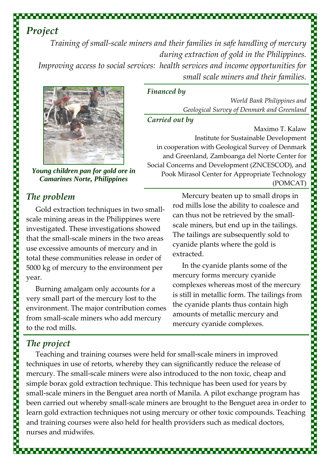*Training of small‐scale miners and their families in safe handling of mercury during extraction of gold in the Philippines. Improving access to social services: health services and income opportunities for small scale miners and their families.*

*Financed by* 

*Carried out by*



*Young children pan for gold ore in Camarines Norte, Philippines*

## *The problem*

Gold extraction techniques in two small‐ scale mining areas in the Philippines were investigated. These investigations showed that the small‐scale miners in the two areas use excessive amounts of mercury and in total these communities release in order of 5000 kg of mercury to the environment per year.

Burning amalgam only accounts for a very small part of the mercury lost to the environment. The major contribution comes from small‐scale miners who add mercury to the rod mills.

Mercury beaten up to small drops in rod mills lose the ability to coalesce and can thus not be retrieved by the small‐ scale miners, but end up in the tailings. The tailings are subsequently sold to cyanide plants where the gold is extracted.

in cooperation with Geological Survey of Denmark and Greenland, Zamboanga del Norte Center for

Pook Mirasol Center for Appropriate Technology

Social Concerns and Development (ZNCESCOD), and

*World Bank Philippines and*

Maximo T. Kalaw

(POMCAT)

*Geological Survey of Denmark and Greenland*

Institute for Sustainable Development

In the cyanide plants some of the mercury forms mercury cyanide complexes whereas most of the mercury is still in metallic form. The tailings from the cyanide plants thus contain high amounts of metallic mercury and mercury cyanide complexes.

# *The project*

Teaching and training courses were held for small‐scale miners in improved techniques in use of retorts, whereby they can significantly reduce the release of mercury. The small-scale miners were also introduced to the non toxic, cheap and simple borax gold extraction technique. This technique has been used for years by small-scale miners in the Benguet area north of Manila. A pilot exchange program has been carried out whereby small‐scale miners are brought to the Benguet area in order to learn gold extraction techniques not using mercury or other toxic compounds. Teaching and training courses were also held for health providers such as medical doctors, nurses and midwifes.